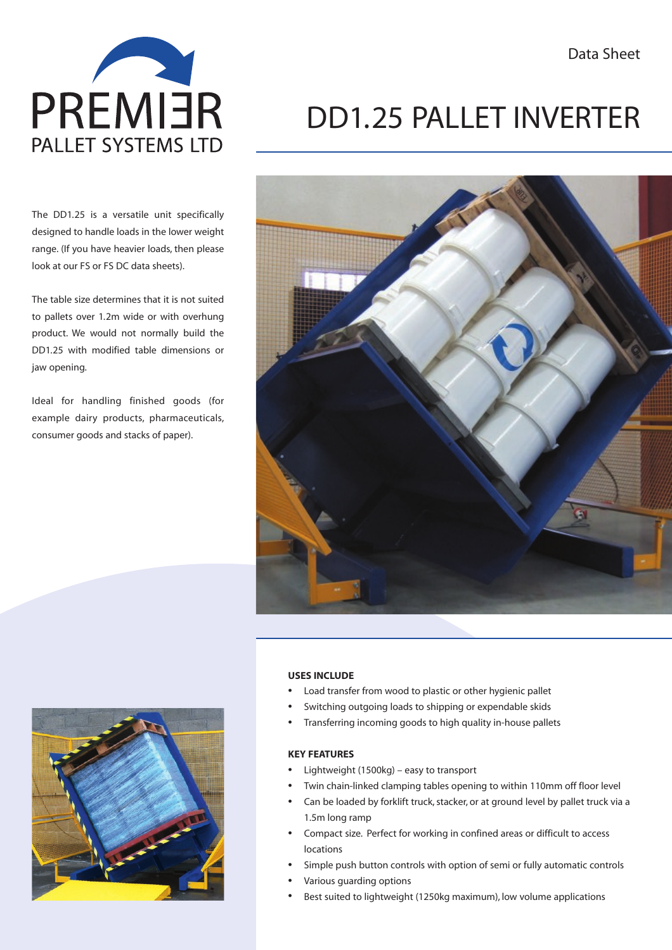

The DD1.25 is a versatile unit specifically designed to handle loads in the lower weight range. (If you have heavier loads, then please look at our FS or FS DC data sheets).

The table size determines that it is not suited to pallets over 1.2m wide or with overhung product. We would not normally build the DD1.25 with modified table dimensions or jaw opening.

Ideal for handling finished goods (for example dairy products, pharmaceuticals, consumer goods and stacks of paper).

# DD1.25 PALLET INVERTER





### **USES INCLUDE**

- Load transfer from wood to plastic or other hygienic pallet
- Switching outgoing loads to shipping or expendable skids
- Transferring incoming goods to high quality in-house pallets

### **KEY FEATURES**

- Lightweight (1500kg) easy to transport
- Twin chain-linked clamping tables opening to within 110mm off floor level
- Can be loaded by forklift truck, stacker, or at ground level by pallet truck via a 1.5m long ramp
- Compact size. Perfect for working in confined areas or difficult to access locations
- Simple push button controls with option of semi or fully automatic controls
- Various guarding options
- Best suited to lightweight (1250kg maximum), low volume applications